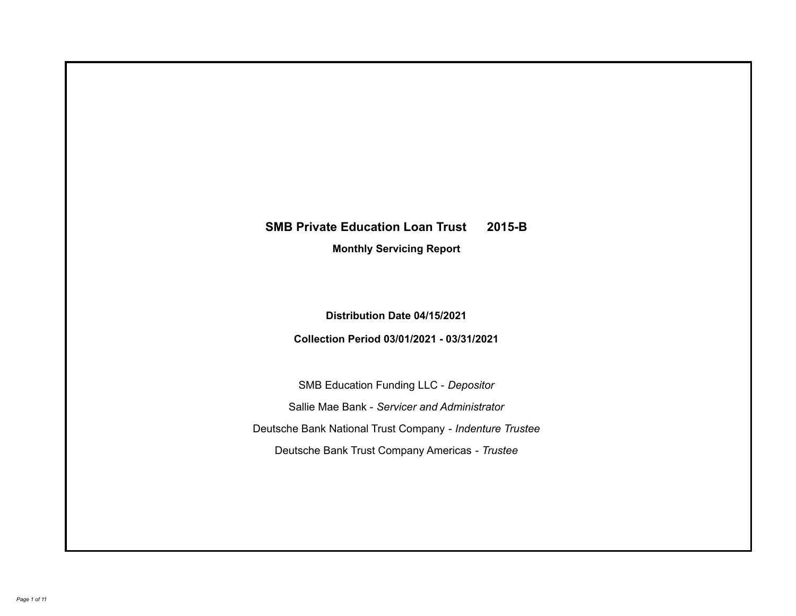# **SMB Private Education Loan Trust 2015-B**

**Monthly Servicing Report**

**Distribution Date 04/15/2021**

**Collection Period 03/01/2021 - 03/31/2021**

SMB Education Funding LLC - *Depositor* Sallie Mae Bank - *Servicer and Administrator* Deutsche Bank National Trust Company - *Indenture Trustee* Deutsche Bank Trust Company Americas - *Trustee*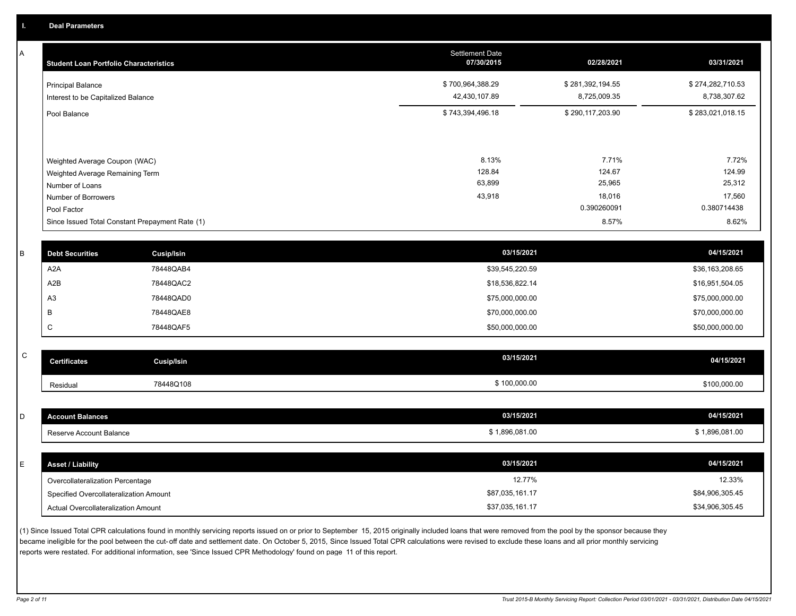A

| <b>Student Loan Portfolio Characteristics</b>                                                              | <b>Settlement Date</b><br>07/30/2015 | 02/28/2021                          | 03/31/2021                          |
|------------------------------------------------------------------------------------------------------------|--------------------------------------|-------------------------------------|-------------------------------------|
| <b>Principal Balance</b><br>Interest to be Capitalized Balance                                             | \$700,964,388.29<br>42,430,107.89    | \$281,392,194.55<br>8,725,009.35    | \$274,282,710.53<br>8,738,307.62    |
| Pool Balance                                                                                               | \$743,394,496.18                     | \$290,117,203.90                    | \$283,021,018.15                    |
| Weighted Average Coupon (WAC)<br>Weighted Average Remaining Term<br>Number of Loans<br>Number of Borrowers | 8.13%<br>128.84<br>63,899<br>43,918  | 7.71%<br>124.67<br>25,965<br>18,016 | 7.72%<br>124.99<br>25,312<br>17,560 |
| Pool Factor                                                                                                |                                      | 0.390260091                         | 0.380714438                         |
| Since Issued Total Constant Prepayment Rate (1)                                                            |                                      | 8.57%                               | 8.62%                               |

| <b>Debt Securities</b> | Cusip/Isin | 03/15/2021      | 04/15/2021      |
|------------------------|------------|-----------------|-----------------|
| A <sub>2</sub> A       | 78448QAB4  | \$39,545,220.59 | \$36,163,208.65 |
| A2B                    | 78448QAC2  | \$18,536,822.14 | \$16,951,504.05 |
| A <sub>3</sub>         | 78448QAD0  | \$75,000,000.00 | \$75,000,000.00 |
|                        | 78448QAE8  | \$70,000,000.00 | \$70,000,000.00 |
| ◡                      | 78448QAF5  | \$50,000,000.00 | \$50,000,000.00 |
|                        |            |                 |                 |

| $\sim$<br>◡ | <b>Certificates</b> | Cusip/Isin | 03/15/2021 | 04/15/2021   |
|-------------|---------------------|------------|------------|--------------|
|             | Residual            | 78448Q108  | 100,000.00 | \$100,000.00 |

| <b>Account Balances</b>                | 03/15/2021      | 04/15/2021      |
|----------------------------------------|-----------------|-----------------|
| Reserve Account Balance                | \$1,896,081.00  | \$1,896,081.00  |
|                                        |                 |                 |
| <b>Asset / Liability</b>               | 03/15/2021      | 04/15/2021      |
| Overcollateralization Percentage       | 12.77%          | 12.33%          |
| Specified Overcollateralization Amount | \$87,035,161.17 | \$84,906,305.45 |
| Actual Overcollateralization Amount    | \$37,035,161.17 | \$34,906,305.45 |

(1) Since Issued Total CPR calculations found in monthly servicing reports issued on or prior to September 15, 2015 originally included loans that were removed from the pool by the sponsor because they became ineligible for the pool between the cut-off date and settlement date. On October 5, 2015, Since Issued Total CPR calculations were revised to exclude these loans and all prior monthly servicing reports were restated. For additional information, see 'Since Issued CPR Methodology' found on page 11 of this report.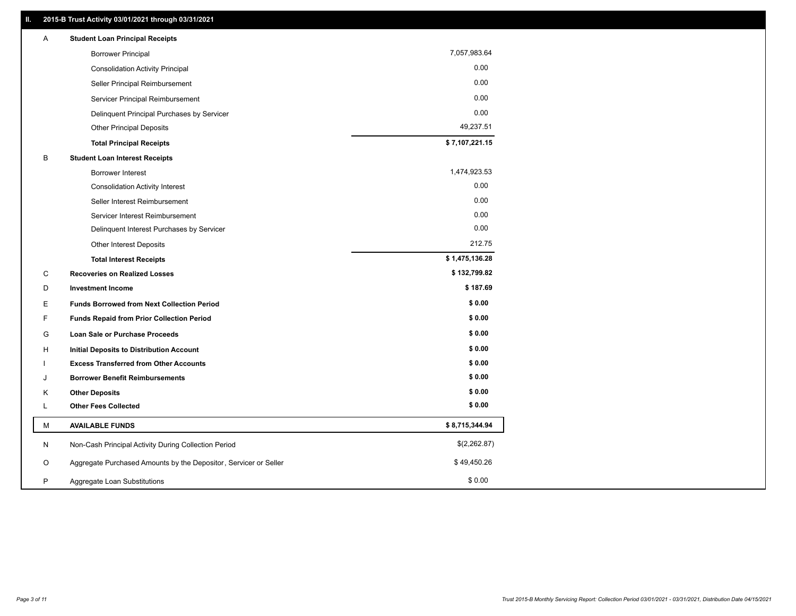| Α  | <b>Student Loan Principal Receipts</b>                           |                |
|----|------------------------------------------------------------------|----------------|
|    | <b>Borrower Principal</b>                                        | 7,057,983.64   |
|    | <b>Consolidation Activity Principal</b>                          | 0.00           |
|    | Seller Principal Reimbursement                                   | 0.00           |
|    | Servicer Principal Reimbursement                                 | 0.00           |
|    | Delinquent Principal Purchases by Servicer                       | 0.00           |
|    | <b>Other Principal Deposits</b>                                  | 49,237.51      |
|    | <b>Total Principal Receipts</b>                                  | \$7,107,221.15 |
| В  | <b>Student Loan Interest Receipts</b>                            |                |
|    | Borrower Interest                                                | 1,474,923.53   |
|    | <b>Consolidation Activity Interest</b>                           | 0.00           |
|    | Seller Interest Reimbursement                                    | 0.00           |
|    | Servicer Interest Reimbursement                                  | 0.00           |
|    | Delinquent Interest Purchases by Servicer                        | 0.00           |
|    | Other Interest Deposits                                          | 212.75         |
|    | <b>Total Interest Receipts</b>                                   | \$1,475,136.28 |
| C  | <b>Recoveries on Realized Losses</b>                             | \$132,799.82   |
| D  | <b>Investment Income</b>                                         | \$187.69       |
| E  | <b>Funds Borrowed from Next Collection Period</b>                | \$0.00         |
| F  | <b>Funds Repaid from Prior Collection Period</b>                 | \$0.00         |
| G  | <b>Loan Sale or Purchase Proceeds</b>                            | \$0.00         |
| H. | Initial Deposits to Distribution Account                         | \$0.00         |
|    | <b>Excess Transferred from Other Accounts</b>                    | \$0.00         |
| J  | <b>Borrower Benefit Reimbursements</b>                           | \$0.00         |
| ĸ  | <b>Other Deposits</b>                                            | \$0.00         |
| Г  | <b>Other Fees Collected</b>                                      | \$0.00         |
| М  | <b>AVAILABLE FUNDS</b>                                           | \$8,715,344.94 |
| N  | Non-Cash Principal Activity During Collection Period             | \$(2,262.87)   |
| O  | Aggregate Purchased Amounts by the Depositor, Servicer or Seller | \$49,450.26    |
| P  | Aggregate Loan Substitutions                                     | \$0.00         |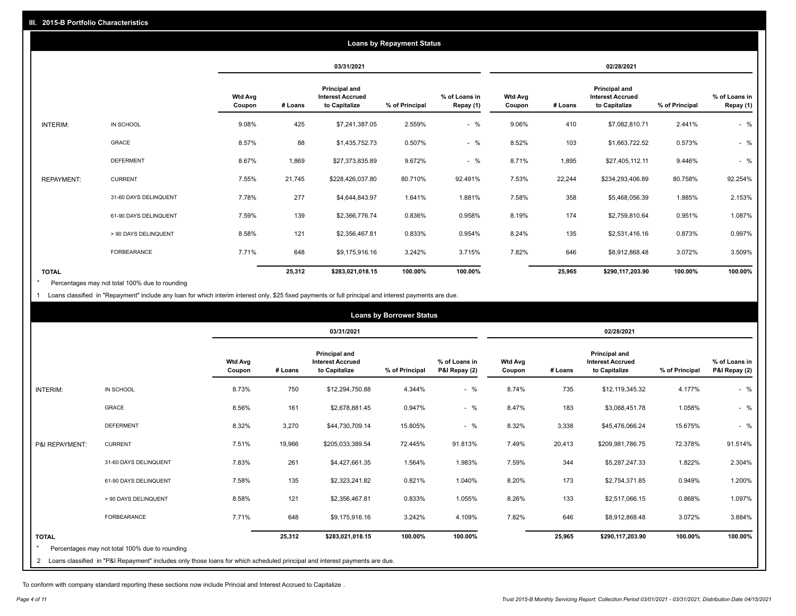|                   | <b>Loans by Repayment Status</b> |                          |         |                                                           |                |                            |                          |         |                                                           |                |                            |
|-------------------|----------------------------------|--------------------------|---------|-----------------------------------------------------------|----------------|----------------------------|--------------------------|---------|-----------------------------------------------------------|----------------|----------------------------|
|                   |                                  |                          |         | 03/31/2021                                                |                |                            | 02/28/2021               |         |                                                           |                |                            |
|                   |                                  | <b>Wtd Avg</b><br>Coupon | # Loans | Principal and<br><b>Interest Accrued</b><br>to Capitalize | % of Principal | % of Loans in<br>Repay (1) | <b>Wtd Avg</b><br>Coupon | # Loans | Principal and<br><b>Interest Accrued</b><br>to Capitalize | % of Principal | % of Loans in<br>Repay (1) |
| INTERIM:          | IN SCHOOL                        | 9.08%                    | 425     | \$7,241,387.05                                            | 2.559%         | $-$ %                      | 9.06%                    | 410     | \$7,082,810.71                                            | 2.441%         | $-$ %                      |
|                   | GRACE                            | 8.57%                    | 88      | \$1,435,752.73                                            | 0.507%         | $-$ %                      | 8.52%                    | 103     | \$1,663,722.52                                            | 0.573%         | $-$ %                      |
|                   | <b>DEFERMENT</b>                 | 8.67%                    | 1,869   | \$27,373,835.89                                           | 9.672%         | $-$ %                      | 8.71%                    | 1,895   | \$27,405,112.11                                           | 9.446%         | $-$ %                      |
| <b>REPAYMENT:</b> | <b>CURRENT</b>                   | 7.55%                    | 21,745  | \$228,426,037.80                                          | 80.710%        | 92.491%                    | 7.53%                    | 22,244  | \$234,293,406.89                                          | 80.758%        | 92.254%                    |
|                   | 31-60 DAYS DELINQUENT            | 7.78%                    | 277     | \$4,644,843.97                                            | 1.641%         | 1.881%                     | 7.58%                    | 358     | \$5,468,056.39                                            | 1.885%         | 2.153%                     |
|                   | 61-90 DAYS DELINQUENT            | 7.59%                    | 139     | \$2,366,776.74                                            | 0.836%         | 0.958%                     | 8.19%                    | 174     | \$2,759,810.64                                            | 0.951%         | 1.087%                     |
|                   | > 90 DAYS DELINQUENT             | 8.58%                    | 121     | \$2,356,467.81                                            | 0.833%         | 0.954%                     | 8.24%                    | 135     | \$2,531,416.16                                            | 0.873%         | 0.997%                     |
|                   | <b>FORBEARANCE</b>               | 7.71%                    | 648     | \$9,175,916.16                                            | 3.242%         | 3.715%                     | 7.82%                    | 646     | \$8,912,868.48                                            | 3.072%         | 3.509%                     |
| <b>TOTAL</b>      |                                  |                          | 25,312  | \$283,021,018.15                                          | 100.00%        | 100.00%                    |                          | 25,965  | \$290,117,203.90                                          | 100.00%        | 100.00%                    |

Percentages may not total 100% due to rounding \*

1 Loans classified in "Repayment" include any loan for which interim interest only, \$25 fixed payments or full principal and interest payments are due.

| <b>Loans by Borrower Status</b> |                                                                                                                              |                          |         |                                                                  |                |                                |                          |         |                                                           |                |                                |
|---------------------------------|------------------------------------------------------------------------------------------------------------------------------|--------------------------|---------|------------------------------------------------------------------|----------------|--------------------------------|--------------------------|---------|-----------------------------------------------------------|----------------|--------------------------------|
|                                 |                                                                                                                              |                          |         | 03/31/2021                                                       |                |                                |                          |         | 02/28/2021                                                |                |                                |
|                                 |                                                                                                                              | <b>Wtd Avg</b><br>Coupon | # Loans | <b>Principal and</b><br><b>Interest Accrued</b><br>to Capitalize | % of Principal | % of Loans in<br>P&I Repay (2) | <b>Wtd Avg</b><br>Coupon | # Loans | Principal and<br><b>Interest Accrued</b><br>to Capitalize | % of Principal | % of Loans in<br>P&I Repay (2) |
| INTERIM:                        | IN SCHOOL                                                                                                                    | 8.73%                    | 750     | \$12,294,750.88                                                  | 4.344%         | $-$ %                          | 8.74%                    | 735     | \$12,119,345.32                                           | 4.177%         | $-$ %                          |
|                                 | <b>GRACE</b>                                                                                                                 | 8.56%                    | 161     | \$2,678,881.45                                                   | 0.947%         | $-$ %                          | 8.47%                    | 183     | \$3,068,451.78                                            | 1.058%         | $-$ %                          |
|                                 | <b>DEFERMENT</b>                                                                                                             | 8.32%                    | 3,270   | \$44,730,709.14                                                  | 15.805%        | $-$ %                          | 8.32%                    | 3,338   | \$45,476,066.24                                           | 15.675%        | $-$ %                          |
| P&I REPAYMENT:                  | <b>CURRENT</b>                                                                                                               | 7.51%                    | 19,966  | \$205,033,389.54                                                 | 72.445%        | 91.813%                        | 7.49%                    | 20,413  | \$209,981,786.75                                          | 72.378%        | 91.514%                        |
|                                 | 31-60 DAYS DELINQUENT                                                                                                        | 7.83%                    | 261     | \$4,427,661.35                                                   | 1.564%         | 1.983%                         | 7.59%                    | 344     | \$5,287,247.33                                            | 1.822%         | 2.304%                         |
|                                 | 61-90 DAYS DELINQUENT                                                                                                        | 7.58%                    | 135     | \$2,323,241.82                                                   | 0.821%         | 1.040%                         | 8.20%                    | 173     | \$2,754,371.85                                            | 0.949%         | 1.200%                         |
|                                 | > 90 DAYS DELINQUENT                                                                                                         | 8.58%                    | 121     | \$2,356,467.81                                                   | 0.833%         | 1.055%                         | 8.26%                    | 133     | \$2,517,066.15                                            | 0.868%         | 1.097%                         |
|                                 | <b>FORBEARANCE</b>                                                                                                           | 7.71%                    | 648     | \$9,175,916.16                                                   | 3.242%         | 4.109%                         | 7.82%                    | 646     | \$8,912,868.48                                            | 3.072%         | 3.884%                         |
| <b>TOTAL</b>                    | Percentages may not total 100% due to rounding                                                                               |                          | 25,312  | \$283,021,018.15                                                 | 100.00%        | 100.00%                        |                          | 25,965  | \$290,117,203.90                                          | 100.00%        | 100.00%                        |
|                                 | 2 Loans classified in "P&I Repayment" includes only those loans for which scheduled principal and interest payments are due. |                          |         |                                                                  |                |                                |                          |         |                                                           |                |                                |

To conform with company standard reporting these sections now include Princial and Interest Accrued to Capitalize .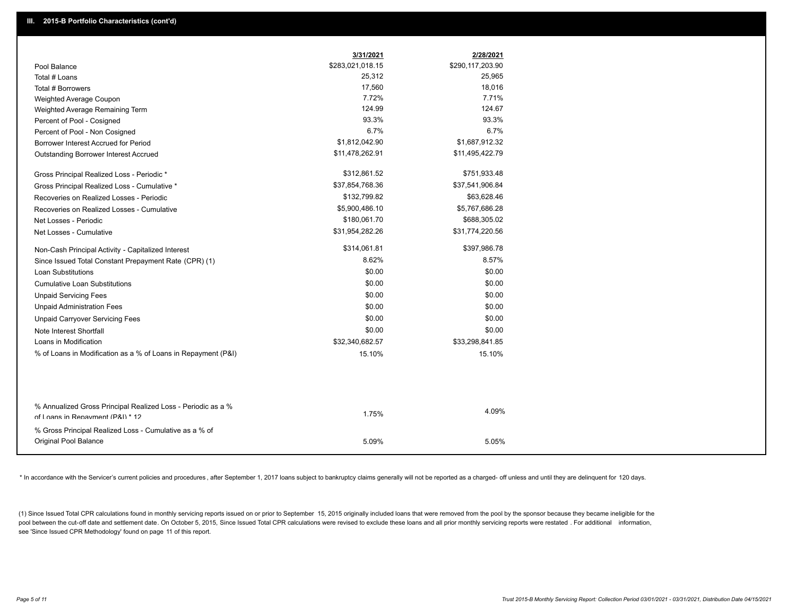|                                                                                                  | 3/31/2021        | 2/28/2021        |
|--------------------------------------------------------------------------------------------------|------------------|------------------|
| Pool Balance                                                                                     | \$283,021,018.15 | \$290,117,203.90 |
| Total # Loans                                                                                    | 25,312           | 25,965           |
| Total # Borrowers                                                                                | 17,560           | 18,016           |
| Weighted Average Coupon                                                                          | 7.72%            | 7.71%            |
| Weighted Average Remaining Term                                                                  | 124.99           | 124.67           |
| Percent of Pool - Cosigned                                                                       | 93.3%            | 93.3%            |
| Percent of Pool - Non Cosigned                                                                   | 6.7%             | 6.7%             |
| Borrower Interest Accrued for Period                                                             | \$1,812,042.90   | \$1,687,912.32   |
| Outstanding Borrower Interest Accrued                                                            | \$11,478,262.91  | \$11,495,422.79  |
| Gross Principal Realized Loss - Periodic *                                                       | \$312,861.52     | \$751,933.48     |
| Gross Principal Realized Loss - Cumulative *                                                     | \$37,854,768.36  | \$37,541,906.84  |
| Recoveries on Realized Losses - Periodic                                                         | \$132,799.82     | \$63,628.46      |
| Recoveries on Realized Losses - Cumulative                                                       | \$5,900,486.10   | \$5,767,686.28   |
| Net Losses - Periodic                                                                            | \$180,061.70     | \$688,305.02     |
| Net Losses - Cumulative                                                                          | \$31,954,282.26  | \$31,774,220.56  |
| Non-Cash Principal Activity - Capitalized Interest                                               | \$314,061.81     | \$397,986.78     |
| Since Issued Total Constant Prepayment Rate (CPR) (1)                                            | 8.62%            | 8.57%            |
| <b>Loan Substitutions</b>                                                                        | \$0.00           | \$0.00           |
| <b>Cumulative Loan Substitutions</b>                                                             | \$0.00           | \$0.00           |
| <b>Unpaid Servicing Fees</b>                                                                     | \$0.00           | \$0.00           |
| <b>Unpaid Administration Fees</b>                                                                | \$0.00           | \$0.00           |
| <b>Unpaid Carryover Servicing Fees</b>                                                           | \$0.00           | \$0.00           |
| Note Interest Shortfall                                                                          | \$0.00           | \$0.00           |
| Loans in Modification                                                                            | \$32,340,682.57  | \$33,298,841.85  |
| % of Loans in Modification as a % of Loans in Repayment (P&I)                                    | 15.10%           | 15.10%           |
|                                                                                                  |                  |                  |
| % Annualized Gross Principal Realized Loss - Periodic as a %<br>of Loans in Repayment (P&I) * 12 | 1.75%            | 4.09%            |
|                                                                                                  |                  |                  |
| % Gross Principal Realized Loss - Cumulative as a % of<br>Original Pool Balance                  | 5.09%            | 5.05%            |
|                                                                                                  |                  |                  |

\* In accordance with the Servicer's current policies and procedures, after September 1, 2017 loans subject to bankruptcy claims generally will not be reported as a charged- off unless and until they are delinquent for 120

(1) Since Issued Total CPR calculations found in monthly servicing reports issued on or prior to September 15, 2015 originally included loans that were removed from the pool by the sponsor because they became ineligible fo pool between the cut-off date and settlement date. On October 5, 2015, Since Issued Total CPR calculations were revised to exclude these loans and all prior monthly servicing reports were restated . For additional informat see 'Since Issued CPR Methodology' found on page 11 of this report.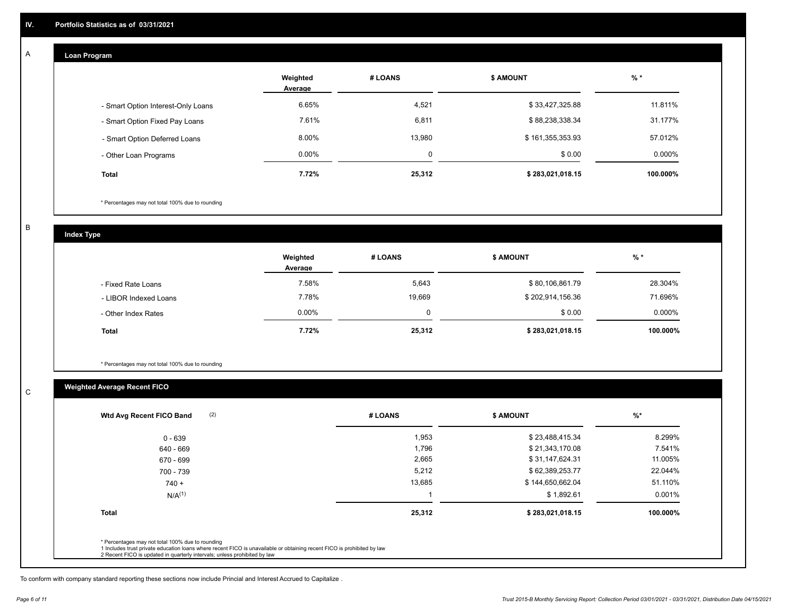#### **Loan Program**  A

|                                    | Weighted<br>Average | # LOANS     | <b>\$ AMOUNT</b> | $%$ *    |
|------------------------------------|---------------------|-------------|------------------|----------|
| - Smart Option Interest-Only Loans | 6.65%               | 4,521       | \$33,427,325.88  | 11.811%  |
| - Smart Option Fixed Pay Loans     | 7.61%               | 6,811       | \$88,238,338.34  | 31.177%  |
| - Smart Option Deferred Loans      | 8.00%               | 13.980      | \$161,355,353.93 | 57.012%  |
| - Other Loan Programs              | $0.00\%$            | $\mathbf 0$ | \$0.00           | 0.000%   |
| <b>Total</b>                       | 7.72%               | 25,312      | \$283,021,018.15 | 100.000% |

\* Percentages may not total 100% due to rounding

B

C

**Index Type**

|                       | Weighted<br>Average | # LOANS | \$ AMOUNT        | % *       |
|-----------------------|---------------------|---------|------------------|-----------|
| - Fixed Rate Loans    | 7.58%               | 5,643   | \$80,106,861.79  | 28.304%   |
| - LIBOR Indexed Loans | 7.78%               | 19,669  | \$202,914,156.36 | 71.696%   |
| - Other Index Rates   | $0.00\%$            | 0       | \$0.00           | $0.000\%$ |
| <b>Total</b>          | 7.72%               | 25,312  | \$283,021,018.15 | 100.000%  |

\* Percentages may not total 100% due to rounding

### **Weighted Average Recent FICO**

| 1,953<br>1,796<br>2,665<br>5,212 | \$23,488,415.34<br>\$21,343,170.08<br>\$31,147,624.31 | 8.299%<br>7.541%<br>11.005% |
|----------------------------------|-------------------------------------------------------|-----------------------------|
|                                  |                                                       |                             |
|                                  |                                                       |                             |
|                                  |                                                       |                             |
|                                  | \$62,389,253.77                                       | 22.044%                     |
| 13,685                           | \$144,650,662.04                                      | 51.110%                     |
|                                  | \$1,892.61                                            | 0.001%                      |
| 25,312                           | \$283,021,018.15                                      | 100.000%                    |
|                                  |                                                       |                             |

To conform with company standard reporting these sections now include Princial and Interest Accrued to Capitalize .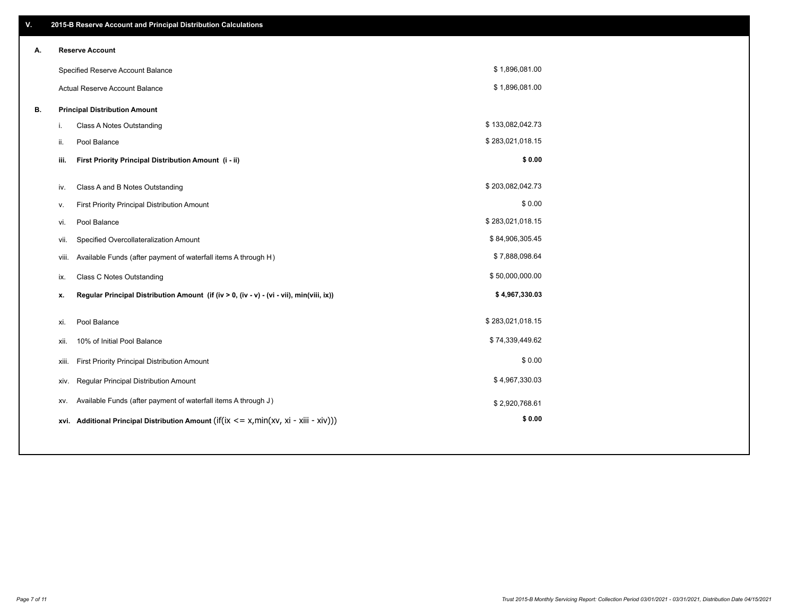| V. | 2015-B Reserve Account and Principal Distribution Calculations                                 |                  |  |
|----|------------------------------------------------------------------------------------------------|------------------|--|
| А. | <b>Reserve Account</b>                                                                         |                  |  |
|    | Specified Reserve Account Balance                                                              | \$1,896,081.00   |  |
|    | Actual Reserve Account Balance                                                                 | \$1,896,081.00   |  |
| В. | <b>Principal Distribution Amount</b>                                                           |                  |  |
|    | Class A Notes Outstanding<br>i.                                                                | \$133,082,042.73 |  |
|    | Pool Balance<br>ii.                                                                            | \$283,021,018.15 |  |
|    | First Priority Principal Distribution Amount (i - ii)<br>iii.                                  | \$0.00           |  |
|    |                                                                                                |                  |  |
|    | Class A and B Notes Outstanding<br>iv.                                                         | \$203,082,042.73 |  |
|    | First Priority Principal Distribution Amount<br>v.                                             | \$0.00           |  |
|    | Pool Balance<br>vi.                                                                            | \$283,021,018.15 |  |
|    | Specified Overcollateralization Amount<br>vii.                                                 | \$84,906,305.45  |  |
|    | Available Funds (after payment of waterfall items A through H)<br>viii.                        | \$7,888,098.64   |  |
|    | <b>Class C Notes Outstanding</b><br>ix.                                                        | \$50,000,000.00  |  |
|    | Regular Principal Distribution Amount (if (iv > 0, (iv - v) - (vi - vii), min(viii, ix))<br>x. | \$4,967,330.03   |  |
|    |                                                                                                |                  |  |
|    | Pool Balance<br>xi.                                                                            | \$283,021,018.15 |  |
|    | 10% of Initial Pool Balance<br>xii.                                                            | \$74,339,449.62  |  |
|    | First Priority Principal Distribution Amount<br>xiii.                                          | \$0.00           |  |
|    | Regular Principal Distribution Amount<br>xiv.                                                  | \$4,967,330.03   |  |
|    | Available Funds (after payment of waterfall items A through J)<br>XV.                          | \$2,920,768.61   |  |
|    | xvi. Additional Principal Distribution Amount (if(ix $\leq$ = x, min(xv, xi - xiii - xiv)))    | \$0.00           |  |
|    |                                                                                                |                  |  |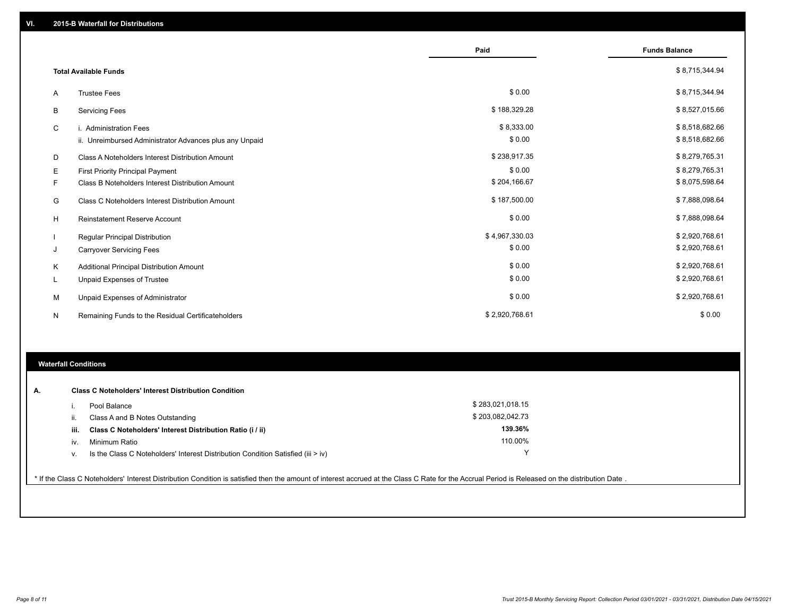|   |                                                         | Paid           | <b>Funds Balance</b> |
|---|---------------------------------------------------------|----------------|----------------------|
|   | <b>Total Available Funds</b>                            |                | \$8,715,344.94       |
| Α | <b>Trustee Fees</b>                                     | \$0.00         | \$8,715,344.94       |
| B | <b>Servicing Fees</b>                                   | \$188,329.28   | \$8,527,015.66       |
| C | i. Administration Fees                                  | \$8,333.00     | \$8,518,682.66       |
|   | ii. Unreimbursed Administrator Advances plus any Unpaid | \$0.00         | \$8,518,682.66       |
| D | Class A Noteholders Interest Distribution Amount        | \$238,917.35   | \$8,279,765.31       |
| Е | <b>First Priority Principal Payment</b>                 | \$0.00         | \$8,279,765.31       |
| F | Class B Noteholders Interest Distribution Amount        | \$204,166.67   | \$8,075,598.64       |
| G | <b>Class C Noteholders Interest Distribution Amount</b> | \$187,500.00   | \$7,888,098.64       |
| H | <b>Reinstatement Reserve Account</b>                    | \$0.00         | \$7,888,098.64       |
|   | <b>Regular Principal Distribution</b>                   | \$4,967,330.03 | \$2,920,768.61       |
| J | <b>Carryover Servicing Fees</b>                         | \$0.00         | \$2,920,768.61       |
| Κ | Additional Principal Distribution Amount                | \$0.00         | \$2,920,768.61       |
| L | Unpaid Expenses of Trustee                              | \$0.00         | \$2,920,768.61       |
| м | Unpaid Expenses of Administrator                        | \$0.00         | \$2,920,768.61       |
| N | Remaining Funds to the Residual Certificateholders      | \$2,920,768.61 | \$0.00               |

### **Waterfall Conditions**

| А. |      | <b>Class C Noteholders' Interest Distribution Condition</b>                        |                  |  |
|----|------|------------------------------------------------------------------------------------|------------------|--|
|    |      | Pool Balance                                                                       | \$283,021,018.15 |  |
|    | ii.  | Class A and B Notes Outstanding                                                    | \$203,082,042.73 |  |
|    | iii. | Class C Noteholders' Interest Distribution Ratio (i / ii)                          | 139.36%          |  |
|    | IV.  | Minimum Ratio                                                                      | 110.00%          |  |
|    | ν.   | Is the Class C Noteholders' Interest Distribution Condition Satisfied (iii $>$ iv) | v                |  |
|    |      |                                                                                    |                  |  |

\* If the Class C Noteholders' Interest Distribution Condition is satisfied then the amount of interest accrued at the Class C Rate for the Accrual Period is Released on the distribution Date .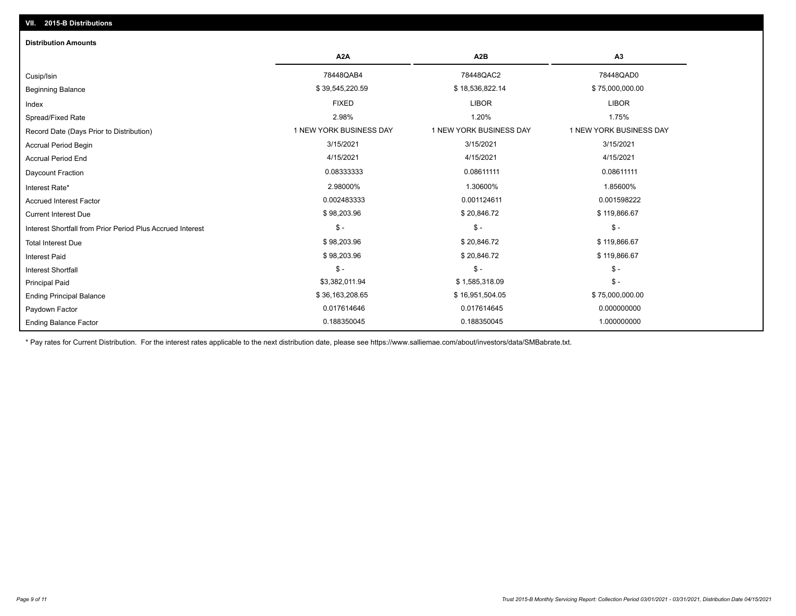## Ending Balance Factor Paydown Factor 0.017614646 0.017614645 0.000000000 Ending Principal Balance \$75,000,000.00 \$ 36,163,208.65 \$56,163,208.65 \$16,951,504.05 \$56,163,208.65 \$75,000,000.00 Principal Paid \$3,382,011.94 \$ 1,585,318.09 \$ - \$ - \$ - \$ - Interest Shortfall \$ 98,203.96 \$ 20,846.72 \$ 119,866.67 Interest Paid Total Interest Due \$ 98,203.96 \$ 20,846.72 \$ 119,866.67 \$ - \$ - \$ - Interest Shortfall from Prior Period Plus Accrued Interest Current Interest Due \$ 98,203.96 \$ 20,846.72 \$ 119,866.67 Accrued Interest Factor **2.0001598222** 0.002483333 0.002483333 0.001124611 0.001124611 0.001598222 Interest Rate\* 2.98000% 1.30600% 1.85600% Daycount Fraction 0.08333333 0.08611111 0.08611111 Accrual Period End 4/15/2021 4/15/2021 4/15/2021 Accrual Period Begin 3/15/2021 3/15/2021 3/15/2021 Record Date (Days Prior to Distribution) **1 NEW YORK BUSINESS DAY** 1 NEW YORK BUSINESS DAY 1 NEW YORK BUSINESS DAY Spread/Fixed Rate 2.98% 1.20% 1.75% Index FIXED LIBOR LIBOR Beginning Balance \$ 39,545,220.59 \$ \$ \$9,545,220.59 \$ \$ \$9,545,220.59 \$ \$ \$18,536,822.14 \$ \$ 75,000,000.00 \$ \$ Cusip/Isin 78448QAB4 78448QAC2 78448QAD0 **A2A A2B A3** 0.188350045 0.188350045 1.000000000 **Distribution Amounts**

\* Pay rates for Current Distribution. For the interest rates applicable to the next distribution date, please see https://www.salliemae.com/about/investors/data/SMBabrate.txt.

**VII. 2015-B Distributions**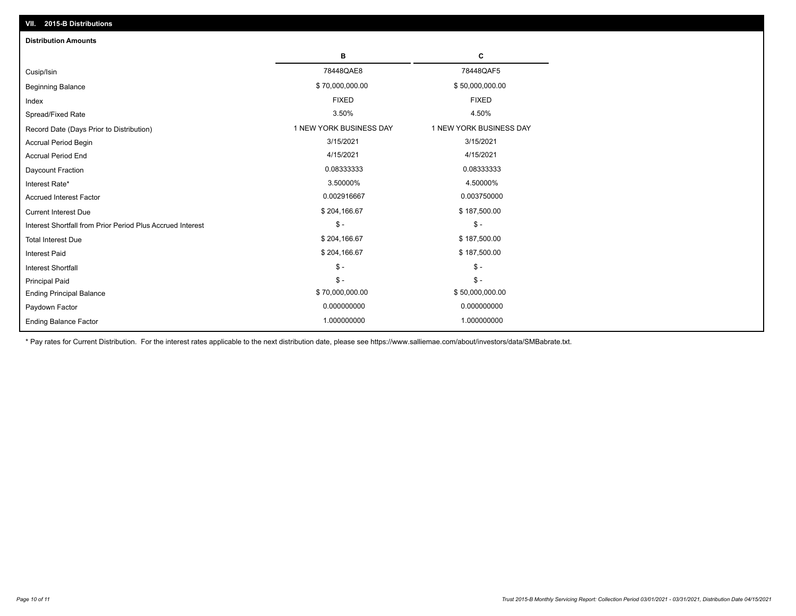| VII. 2015-B Distributions                                  |                         |                         |  |  |  |
|------------------------------------------------------------|-------------------------|-------------------------|--|--|--|
| <b>Distribution Amounts</b>                                |                         |                         |  |  |  |
|                                                            | в                       | С                       |  |  |  |
| Cusip/Isin                                                 | 78448QAE8               | 78448QAF5               |  |  |  |
| <b>Beginning Balance</b>                                   | \$70,000,000.00         | \$50,000,000.00         |  |  |  |
| Index                                                      | <b>FIXED</b>            | <b>FIXED</b>            |  |  |  |
| Spread/Fixed Rate                                          | 3.50%                   | 4.50%                   |  |  |  |
| Record Date (Days Prior to Distribution)                   | 1 NEW YORK BUSINESS DAY | 1 NEW YORK BUSINESS DAY |  |  |  |
| <b>Accrual Period Begin</b>                                | 3/15/2021               | 3/15/2021               |  |  |  |
| <b>Accrual Period End</b>                                  | 4/15/2021               | 4/15/2021               |  |  |  |
| Daycount Fraction                                          | 0.08333333              | 0.08333333              |  |  |  |
| Interest Rate*                                             | 3.50000%                | 4.50000%                |  |  |  |
| <b>Accrued Interest Factor</b>                             | 0.002916667             | 0.003750000             |  |  |  |
| <b>Current Interest Due</b>                                | \$204,166.67            | \$187,500.00            |  |  |  |
| Interest Shortfall from Prior Period Plus Accrued Interest | $\frac{1}{2}$           | $$ -$                   |  |  |  |
| <b>Total Interest Due</b>                                  | \$204,166.67            | \$187,500.00            |  |  |  |
| Interest Paid                                              | \$204,166.67            | \$187,500.00            |  |  |  |
| Interest Shortfall                                         | $\frac{1}{2}$           | $\frac{1}{2}$           |  |  |  |
| <b>Principal Paid</b>                                      | $\mathsf{\$}$ -         | $S -$                   |  |  |  |
| <b>Ending Principal Balance</b>                            | \$70,000,000.00         | \$50,000,000.00         |  |  |  |
| Paydown Factor                                             | 0.000000000             | 0.000000000             |  |  |  |
| <b>Ending Balance Factor</b>                               | 1.000000000             | 1.000000000             |  |  |  |

\* Pay rates for Current Distribution. For the interest rates applicable to the next distribution date, please see https://www.salliemae.com/about/investors/data/SMBabrate.txt.